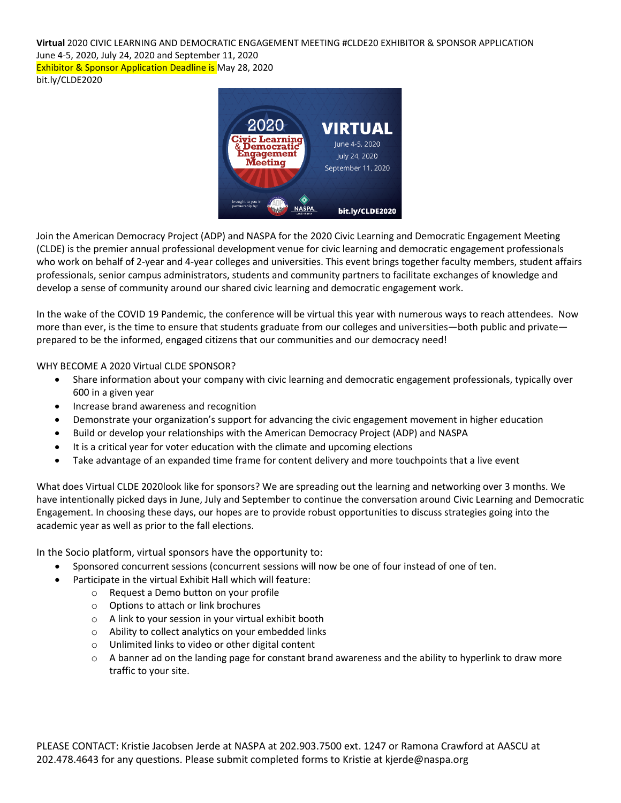**Virtual** 2020 CIVIC LEARNING AND DEMOCRATIC ENGAGEMENT MEETING #CLDE20 EXHIBITOR & SPONSOR APPLICATION June 4-5, 2020, July 24, 2020 and September 11, 2020 Exhibitor & Sponsor Application Deadline is May 28, 2020 bit.ly/CLDE2020



Join the American Democracy Project (ADP) and NASPA for the 2020 Civic Learning and Democratic Engagement Meeting (CLDE) is the premier annual professional development venue for civic learning and democratic engagement professionals who work on behalf of 2-year and 4-year colleges and universities. This event brings together faculty members, student affairs professionals, senior campus administrators, students and community partners to facilitate exchanges of knowledge and develop a sense of community around our shared civic learning and democratic engagement work.

In the wake of the COVID 19 Pandemic, the conference will be virtual this year with numerous ways to reach attendees. Now more than ever, is the time to ensure that students graduate from our colleges and universities—both public and private prepared to be the informed, engaged citizens that our communities and our democracy need!

WHY BECOME A 2020 Virtual CLDE SPONSOR?

- Share information about your company with civic learning and democratic engagement professionals, typically over 600 in a given year
- Increase brand awareness and recognition
- Demonstrate your organization's support for advancing the civic engagement movement in higher education
- Build or develop your relationships with the American Democracy Project (ADP) and NASPA
- It is a critical year for voter education with the climate and upcoming elections
- Take advantage of an expanded time frame for content delivery and more touchpoints that a live event

What does Virtual CLDE 2020look like for sponsors? We are spreading out the learning and networking over 3 months. We have intentionally picked days in June, July and September to continue the conversation around Civic Learning and Democratic Engagement. In choosing these days, our hopes are to provide robust opportunities to discuss strategies going into the academic year as well as prior to the fall elections.

In the Socio platform, virtual sponsors have the opportunity to:

- Sponsored concurrent sessions (concurrent sessions will now be one of four instead of one of ten.
- Participate in the virtual Exhibit Hall which will feature:
	- o Request a Demo button on your profile
	- o Options to attach or link brochures
	- o A link to your session in your virtual exhibit booth
	- o Ability to collect analytics on your embedded links
	- o Unlimited links to video or other digital content
	- $\circ$  A banner ad on the landing page for constant brand awareness and the ability to hyperlink to draw more traffic to your site.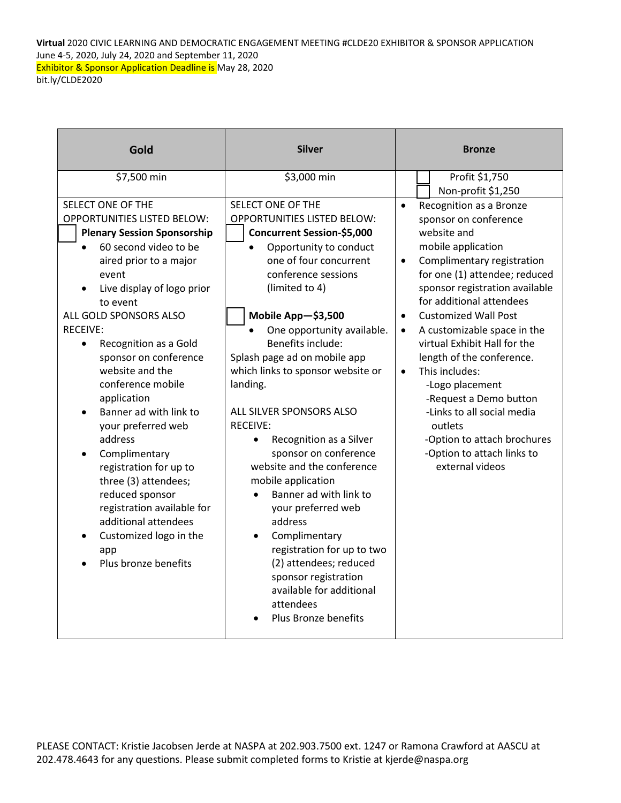**Virtual** 2020 CIVIC LEARNING AND DEMOCRATIC ENGAGEMENT MEETING #CLDE20 EXHIBITOR & SPONSOR APPLICATION June 4-5, 2020, July 24, 2020 and September 11, 2020 Exhibitor & Sponsor Application Deadline is May 28, 2020 bit.ly/CLDE2020

| Gold                                                                                                                                                                                                                                                                                                                                                                                                                                                                                                                                                                                                                                   | <b>Silver</b>                                                                                                                                                                                                                                                                                                                                                                                                                                                                                                                                                                                                                                                                                                                | <b>Bronze</b>                                                                                                                                                                                                                                                                                                                                                                                                                                                                                                                                                                                          |  |
|----------------------------------------------------------------------------------------------------------------------------------------------------------------------------------------------------------------------------------------------------------------------------------------------------------------------------------------------------------------------------------------------------------------------------------------------------------------------------------------------------------------------------------------------------------------------------------------------------------------------------------------|------------------------------------------------------------------------------------------------------------------------------------------------------------------------------------------------------------------------------------------------------------------------------------------------------------------------------------------------------------------------------------------------------------------------------------------------------------------------------------------------------------------------------------------------------------------------------------------------------------------------------------------------------------------------------------------------------------------------------|--------------------------------------------------------------------------------------------------------------------------------------------------------------------------------------------------------------------------------------------------------------------------------------------------------------------------------------------------------------------------------------------------------------------------------------------------------------------------------------------------------------------------------------------------------------------------------------------------------|--|
| \$7,500 min                                                                                                                                                                                                                                                                                                                                                                                                                                                                                                                                                                                                                            | \$3,000 min                                                                                                                                                                                                                                                                                                                                                                                                                                                                                                                                                                                                                                                                                                                  | Profit \$1,750<br>Non-profit \$1,250                                                                                                                                                                                                                                                                                                                                                                                                                                                                                                                                                                   |  |
| SELECT ONE OF THE<br><b>OPPORTUNITIES LISTED BELOW:</b><br><b>Plenary Session Sponsorship</b><br>60 second video to be<br>aired prior to a major<br>event<br>Live display of logo prior<br>to event<br>ALL GOLD SPONSORS ALSO<br><b>RECEIVE:</b><br>Recognition as a Gold<br>$\bullet$<br>sponsor on conference<br>website and the<br>conference mobile<br>application<br>Banner ad with link to<br>your preferred web<br>address<br>Complimentary<br>registration for up to<br>three (3) attendees;<br>reduced sponsor<br>registration available for<br>additional attendees<br>Customized logo in the<br>app<br>Plus bronze benefits | SELECT ONE OF THE<br><b>OPPORTUNITIES LISTED BELOW:</b><br><b>Concurrent Session-\$5,000</b><br>Opportunity to conduct<br>one of four concurrent<br>conference sessions<br>(limited to 4)<br>Mobile App-\$3,500<br>One opportunity available.<br>Benefits include:<br>Splash page ad on mobile app<br>which links to sponsor website or<br>landing.<br>ALL SILVER SPONSORS ALSO<br><b>RECEIVE:</b><br>Recognition as a Silver<br>$\bullet$<br>sponsor on conference<br>website and the conference<br>mobile application<br>Banner ad with link to<br>your preferred web<br>address<br>Complimentary<br>registration for up to two<br>(2) attendees; reduced<br>sponsor registration<br>available for additional<br>attendees | Recognition as a Bronze<br>$\bullet$<br>sponsor on conference<br>website and<br>mobile application<br>Complimentary registration<br>$\bullet$<br>for one (1) attendee; reduced<br>sponsor registration available<br>for additional attendees<br><b>Customized Wall Post</b><br>$\bullet$<br>A customizable space in the<br>$\bullet$<br>virtual Exhibit Hall for the<br>length of the conference.<br>This includes:<br>$\bullet$<br>-Logo placement<br>-Request a Demo button<br>-Links to all social media<br>outlets<br>-Option to attach brochures<br>-Option to attach links to<br>external videos |  |